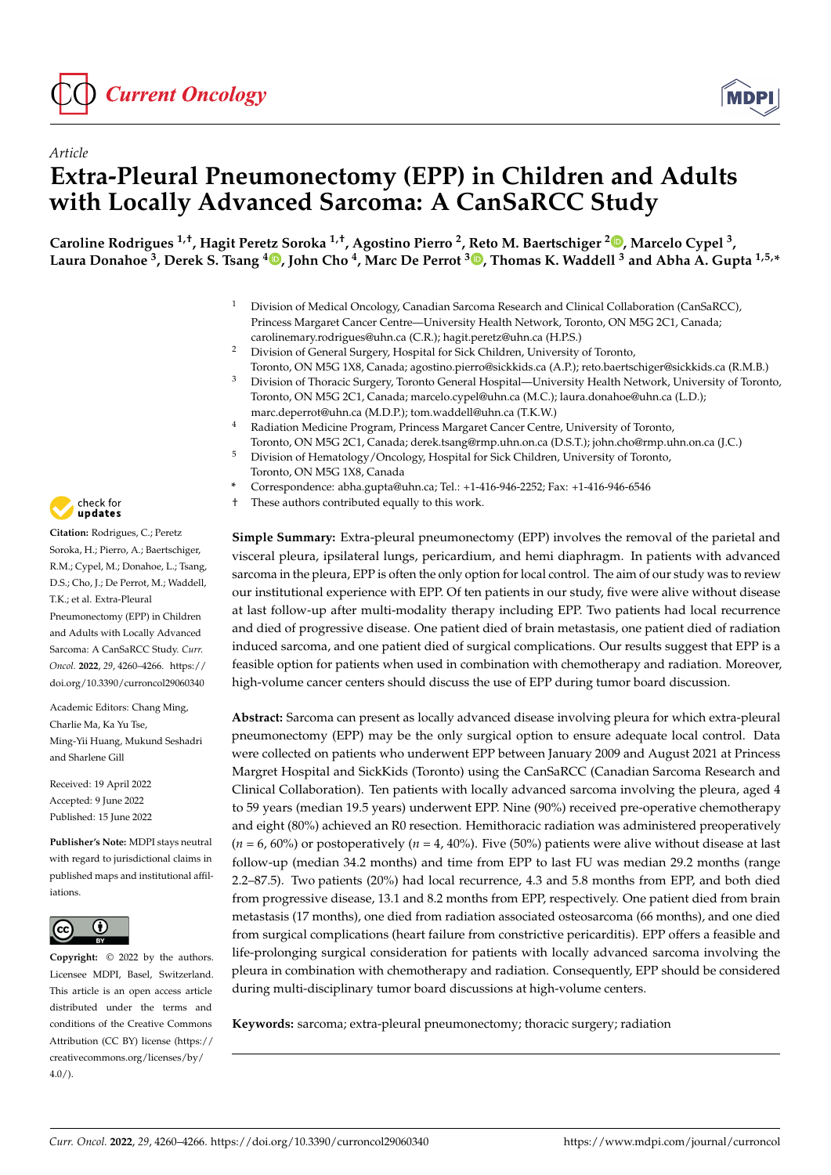



# *Article* **Extra-Pleural Pneumonectomy (EPP) in Children and Adults with Locally Advanced Sarcoma: A CanSaRCC Study**

**Caroline Rodrigues 1,†, Hagit Peretz Soroka 1,†, Agostino Pierro <sup>2</sup> , Reto M. Baertschiger <sup>2</sup> [,](https://orcid.org/0000-0002-6284-1994) Marcelo Cypel <sup>3</sup> , Laura Donahoe <sup>3</sup> , Derek S. Tsang <sup>4</sup> [,](https://orcid.org/0000-0002-9762-6901) John Cho <sup>4</sup> , Marc De Perrot <sup>3</sup> [,](https://orcid.org/0000-0003-2000-9427) Thomas K. Waddell <sup>3</sup> and Abha A. Gupta 1,5,\***

- <sup>1</sup> Division of Medical Oncology, Canadian Sarcoma Research and Clinical Collaboration (CanSaRCC), Princess Margaret Cancer Centre—University Health Network, Toronto, ON M5G 2C1, Canada; carolinemary.rodrigues@uhn.ca (C.R.); hagit.peretz@uhn.ca (H.P.S.)
- <sup>2</sup> Division of General Surgery, Hospital for Sick Children, University of Toronto, Toronto, ON M5G 1X8, Canada; agostino.pierro@sickkids.ca (A.P.); reto.baertschiger@sickkids.ca (R.M.B.)
- <sup>3</sup> Division of Thoracic Surgery, Toronto General Hospital—University Health Network, University of Toronto, Toronto, ON M5G 2C1, Canada; marcelo.cypel@uhn.ca (M.C.); laura.donahoe@uhn.ca (L.D.); marc.deperrot@uhn.ca (M.D.P.); tom.waddell@uhn.ca (T.K.W.)
- <sup>4</sup> Radiation Medicine Program, Princess Margaret Cancer Centre, University of Toronto, Toronto, ON M5G 2C1, Canada; derek.tsang@rmp.uhn.on.ca (D.S.T.); john.cho@rmp.uhn.on.ca (J.C.)
- <sup>5</sup> Division of Hematology/Oncology, Hospital for Sick Children, University of Toronto, Toronto, ON M5G 1X8, Canada
- **\*** Correspondence: abha.gupta@uhn.ca; Tel.: +1-416-946-2252; Fax: +1-416-946-6546
- † These authors contributed equally to this work.

**Simple Summary:** Extra-pleural pneumonectomy (EPP) involves the removal of the parietal and visceral pleura, ipsilateral lungs, pericardium, and hemi diaphragm. In patients with advanced sarcoma in the pleura, EPP is often the only option for local control. The aim of our study was to review our institutional experience with EPP. Of ten patients in our study, five were alive without disease at last follow-up after multi-modality therapy including EPP. Two patients had local recurrence and died of progressive disease. One patient died of brain metastasis, one patient died of radiation induced sarcoma, and one patient died of surgical complications. Our results suggest that EPP is a feasible option for patients when used in combination with chemotherapy and radiation. Moreover, high-volume cancer centers should discuss the use of EPP during tumor board discussion.

**Abstract:** Sarcoma can present as locally advanced disease involving pleura for which extra-pleural pneumonectomy (EPP) may be the only surgical option to ensure adequate local control. Data were collected on patients who underwent EPP between January 2009 and August 2021 at Princess Margret Hospital and SickKids (Toronto) using the CanSaRCC (Canadian Sarcoma Research and Clinical Collaboration). Ten patients with locally advanced sarcoma involving the pleura, aged 4 to 59 years (median 19.5 years) underwent EPP. Nine (90%) received pre-operative chemotherapy and eight (80%) achieved an R0 resection. Hemithoracic radiation was administered preoperatively  $(n = 6, 60\%)$  or postoperatively  $(n = 4, 40\%)$ . Five (50%) patients were alive without disease at last follow-up (median 34.2 months) and time from EPP to last FU was median 29.2 months (range 2.2–87.5). Two patients (20%) had local recurrence, 4.3 and 5.8 months from EPP, and both died from progressive disease, 13.1 and 8.2 months from EPP, respectively. One patient died from brain metastasis (17 months), one died from radiation associated osteosarcoma (66 months), and one died from surgical complications (heart failure from constrictive pericarditis). EPP offers a feasible and life-prolonging surgical consideration for patients with locally advanced sarcoma involving the pleura in combination with chemotherapy and radiation. Consequently, EPP should be considered during multi-disciplinary tumor board discussions at high-volume centers.

**Keywords:** sarcoma; extra-pleural pneumonectomy; thoracic surgery; radiation



**Citation:** Rodrigues, C.; Peretz Soroka, H.; Pierro, A.; Baertschiger, R.M.; Cypel, M.; Donahoe, L.; Tsang, D.S.; Cho, J.; De Perrot, M.; Waddell, T.K.; et al. Extra-Pleural Pneumonectomy (EPP) in Children and Adults with Locally Advanced Sarcoma: A CanSaRCC Study. *Curr. Oncol.* **2022**, *29*, 4260–4266. [https://](https://doi.org/10.3390/curroncol29060340) [doi.org/10.3390/curroncol29060340](https://doi.org/10.3390/curroncol29060340)

Academic Editors: Chang Ming, Charlie Ma, Ka Yu Tse, Ming-Yii Huang, Mukund Seshadri and Sharlene Gill

Received: 19 April 2022 Accepted: 9 June 2022 Published: 15 June 2022

**Publisher's Note:** MDPI stays neutral with regard to jurisdictional claims in published maps and institutional affiliations.



**Copyright:** © 2022 by the authors. Licensee MDPI, Basel, Switzerland. This article is an open access article distributed under the terms and conditions of the Creative Commons Attribution (CC BY) license [\(https://](https://creativecommons.org/licenses/by/4.0/) [creativecommons.org/licenses/by/](https://creativecommons.org/licenses/by/4.0/)  $4.0/$ ).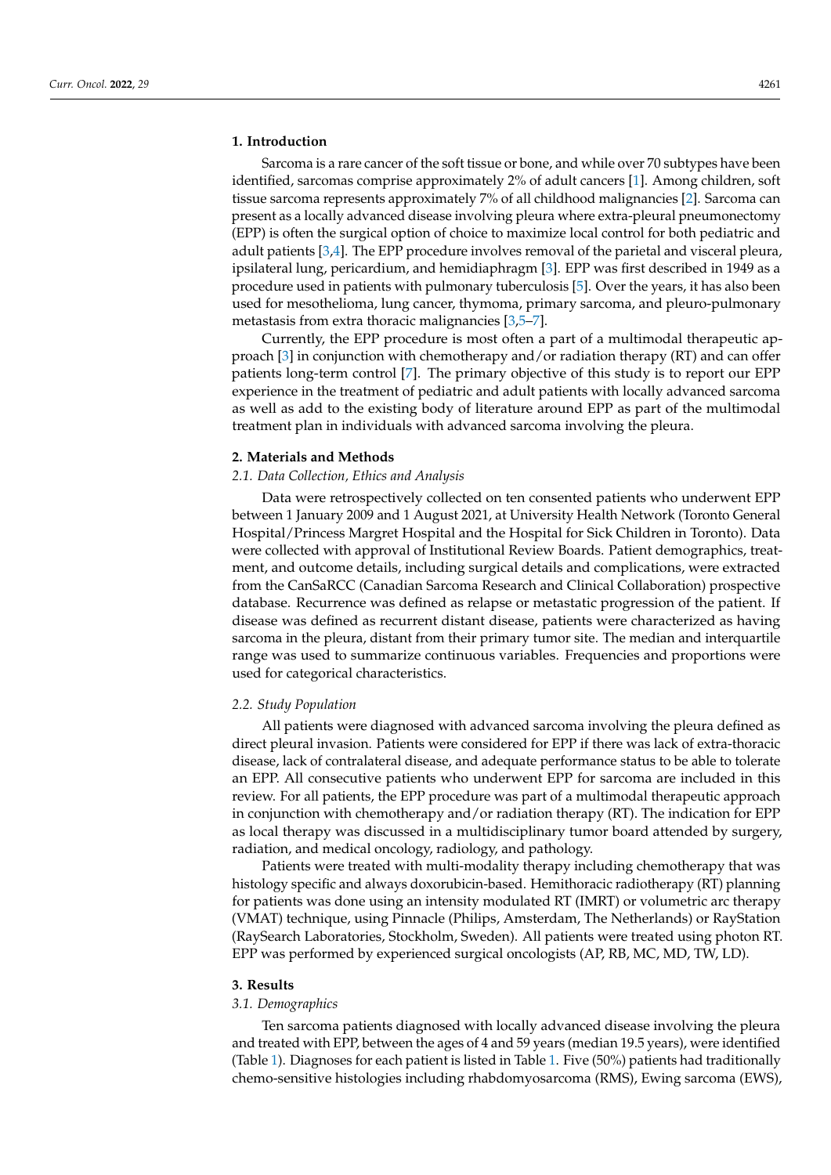# **1. Introduction**

Sarcoma is a rare cancer of the soft tissue or bone, and while over 70 subtypes have been identified, sarcomas comprise approximately 2% of adult cancers [\[1\]](#page-6-0). Among children, soft tissue sarcoma represents approximately 7% of all childhood malignancies [\[2\]](#page-6-1). Sarcoma can present as a locally advanced disease involving pleura where extra-pleural pneumonectomy (EPP) is often the surgical option of choice to maximize local control for both pediatric and adult patients [\[3](#page-6-2)[,4\]](#page-6-3). The EPP procedure involves removal of the parietal and visceral pleura, ipsilateral lung, pericardium, and hemidiaphragm [\[3\]](#page-6-2). EPP was first described in 1949 as a procedure used in patients with pulmonary tuberculosis [\[5\]](#page-6-4). Over the years, it has also been used for mesothelioma, lung cancer, thymoma, primary sarcoma, and pleuro-pulmonary metastasis from extra thoracic malignancies [\[3](#page-6-2)[,5–](#page-6-4)[7\]](#page-6-5).

Currently, the EPP procedure is most often a part of a multimodal therapeutic approach [\[3\]](#page-6-2) in conjunction with chemotherapy and/or radiation therapy (RT) and can offer patients long-term control [\[7\]](#page-6-5). The primary objective of this study is to report our EPP experience in the treatment of pediatric and adult patients with locally advanced sarcoma as well as add to the existing body of literature around EPP as part of the multimodal treatment plan in individuals with advanced sarcoma involving the pleura.

#### **2. Materials and Methods**

#### *2.1. Data Collection, Ethics and Analysis*

Data were retrospectively collected on ten consented patients who underwent EPP between 1 January 2009 and 1 August 2021, at University Health Network (Toronto General Hospital/Princess Margret Hospital and the Hospital for Sick Children in Toronto). Data were collected with approval of Institutional Review Boards. Patient demographics, treatment, and outcome details, including surgical details and complications, were extracted from the CanSaRCC (Canadian Sarcoma Research and Clinical Collaboration) prospective database. Recurrence was defined as relapse or metastatic progression of the patient. If disease was defined as recurrent distant disease, patients were characterized as having sarcoma in the pleura, distant from their primary tumor site. The median and interquartile range was used to summarize continuous variables. Frequencies and proportions were used for categorical characteristics.

#### *2.2. Study Population*

All patients were diagnosed with advanced sarcoma involving the pleura defined as direct pleural invasion. Patients were considered for EPP if there was lack of extra-thoracic disease, lack of contralateral disease, and adequate performance status to be able to tolerate an EPP. All consecutive patients who underwent EPP for sarcoma are included in this review. For all patients, the EPP procedure was part of a multimodal therapeutic approach in conjunction with chemotherapy and/or radiation therapy (RT). The indication for EPP as local therapy was discussed in a multidisciplinary tumor board attended by surgery, radiation, and medical oncology, radiology, and pathology.

Patients were treated with multi-modality therapy including chemotherapy that was histology specific and always doxorubicin-based. Hemithoracic radiotherapy (RT) planning for patients was done using an intensity modulated RT (IMRT) or volumetric arc therapy (VMAT) technique, using Pinnacle (Philips, Amsterdam, The Netherlands) or RayStation (RaySearch Laboratories, Stockholm, Sweden). All patients were treated using photon RT. EPP was performed by experienced surgical oncologists (AP, RB, MC, MD, TW, LD).

# **3. Results**

# *3.1. Demographics*

Ten sarcoma patients diagnosed with locally advanced disease involving the pleura and treated with EPP, between the ages of 4 and 59 years (median 19.5 years), were identified (Table [1\)](#page-2-0). Diagnoses for each patient is listed in Table [1.](#page-2-0) Five (50%) patients had traditionally chemo-sensitive histologies including rhabdomyosarcoma (RMS), Ewing sarcoma (EWS),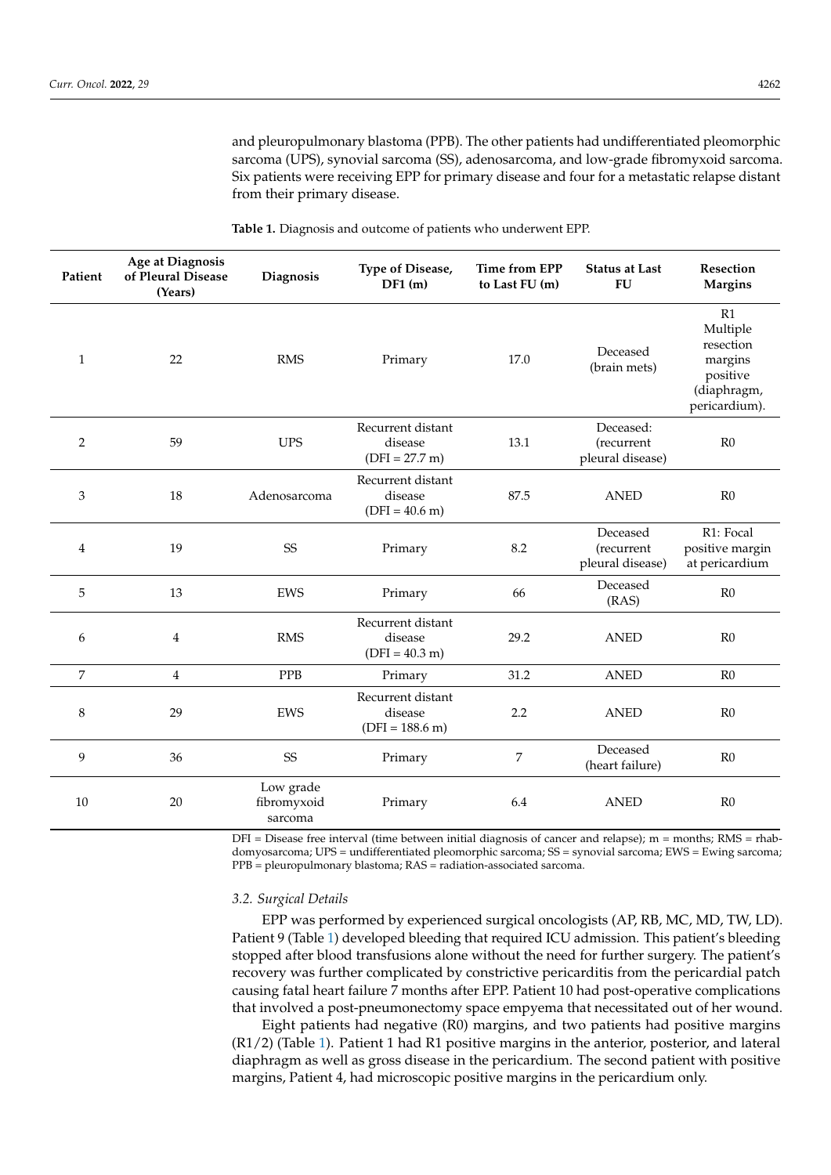<span id="page-2-0"></span>and pleuropulmonary blastoma (PPB). The other patients had undifferentiated pleomorphic sarcoma (UPS), synovial sarcoma (SS), adenosarcoma, and low-grade fibromyxoid sarcoma. Six patients were receiving EPP for primary disease and four for a metastatic relapse distant from their primary disease.

|                                        | <b>Table 1.</b> Diagnosis and outcome of patients who underwent EPP. |                                               |                                                                               |                       |  |  |
|----------------------------------------|----------------------------------------------------------------------|-----------------------------------------------|-------------------------------------------------------------------------------|-----------------------|--|--|
| Age at Diagnosis<br>of Pleural Disease | <b>Diagnosis</b>                                                     | <b>Type of Disease,</b><br>$\mathbf{DE1}$ (m) | Time from EPP<br>$\mathbf{A} \in \mathbf{I}$ as $\mathbf{E} \mathbf{I}$ $(m)$ | <b>Status at Last</b> |  |  |

| Patient        | Age at Diagnosis<br>of Pleural Disease<br>(Years) | Diagnosis                           | Type of Disease,<br>DF1(m)                        | Time from EPP<br>to Last FU (m) | <b>Status at Last</b><br><b>FU</b>          | Resection<br><b>Margins</b>                                                        |
|----------------|---------------------------------------------------|-------------------------------------|---------------------------------------------------|---------------------------------|---------------------------------------------|------------------------------------------------------------------------------------|
| $\mathbf{1}$   | 22                                                | <b>RMS</b>                          | Primary                                           | 17.0                            | Deceased<br>(brain mets)                    | R1<br>Multiple<br>resection<br>margins<br>positive<br>(diaphragm,<br>pericardium). |
| $\overline{2}$ | 59                                                | $\ensuremath{\mathrm{UPS}}$         | Recurrent distant<br>disease<br>$(DFI = 27.7 m)$  | 13.1                            | Deceased:<br>(recurrent<br>pleural disease) | R <sub>0</sub>                                                                     |
| 3              | 18                                                | Adenosarcoma                        | Recurrent distant<br>disease<br>$(DFI = 40.6 m)$  | 87.5                            | <b>ANED</b>                                 | R <sub>0</sub>                                                                     |
| 4              | 19                                                | SS                                  | Primary                                           | 8.2                             | Deceased<br>(recurrent<br>pleural disease)  | R1: Focal<br>positive margin<br>at pericardium                                     |
| 5              | 13                                                | <b>EWS</b>                          | Primary                                           | 66                              | Deceased<br>(RAS)                           | R0                                                                                 |
| 6              | 4                                                 | <b>RMS</b>                          | Recurrent distant<br>disease<br>$(DFI = 40.3 m)$  | 29.2                            | <b>ANED</b>                                 | R <sub>0</sub>                                                                     |
| 7              | $\overline{4}$                                    | PPB                                 | Primary                                           | 31.2                            | <b>ANED</b>                                 | R <sub>0</sub>                                                                     |
| 8              | 29                                                | EWS                                 | Recurrent distant<br>disease<br>$(DFI = 188.6 m)$ | 2.2                             | <b>ANED</b>                                 | R <sub>0</sub>                                                                     |
| 9              | 36                                                | SS                                  | Primary                                           | 7                               | Deceased<br>(heart failure)                 | R0                                                                                 |
| 10             | 20                                                | Low grade<br>fibromyxoid<br>sarcoma | Primary                                           | 6.4                             | <b>ANED</b>                                 | R <sub>0</sub>                                                                     |

 $DFI = Discase$  free interval (time between initial diagnosis of cancer and relapse); m = months; RMS = rhabdomyosarcoma; UPS = undifferentiated pleomorphic sarcoma; SS = synovial sarcoma; EWS = Ewing sarcoma; PPB = pleuropulmonary blastoma; RAS = radiation-associated sarcoma.

#### *3.2. Surgical Details*

EPP was performed by experienced surgical oncologists (AP, RB, MC, MD, TW, LD). Patient 9 (Table [1\)](#page-2-0) developed bleeding that required ICU admission. This patient's bleeding stopped after blood transfusions alone without the need for further surgery. The patient's recovery was further complicated by constrictive pericarditis from the pericardial patch causing fatal heart failure 7 months after EPP. Patient 10 had post-operative complications that involved a post-pneumonectomy space empyema that necessitated out of her wound.

Eight patients had negative (R0) margins, and two patients had positive margins (R1/2) (Table [1\)](#page-2-0). Patient 1 had R1 positive margins in the anterior, posterior, and lateral diaphragm as well as gross disease in the pericardium. The second patient with positive margins, Patient 4, had microscopic positive margins in the pericardium only.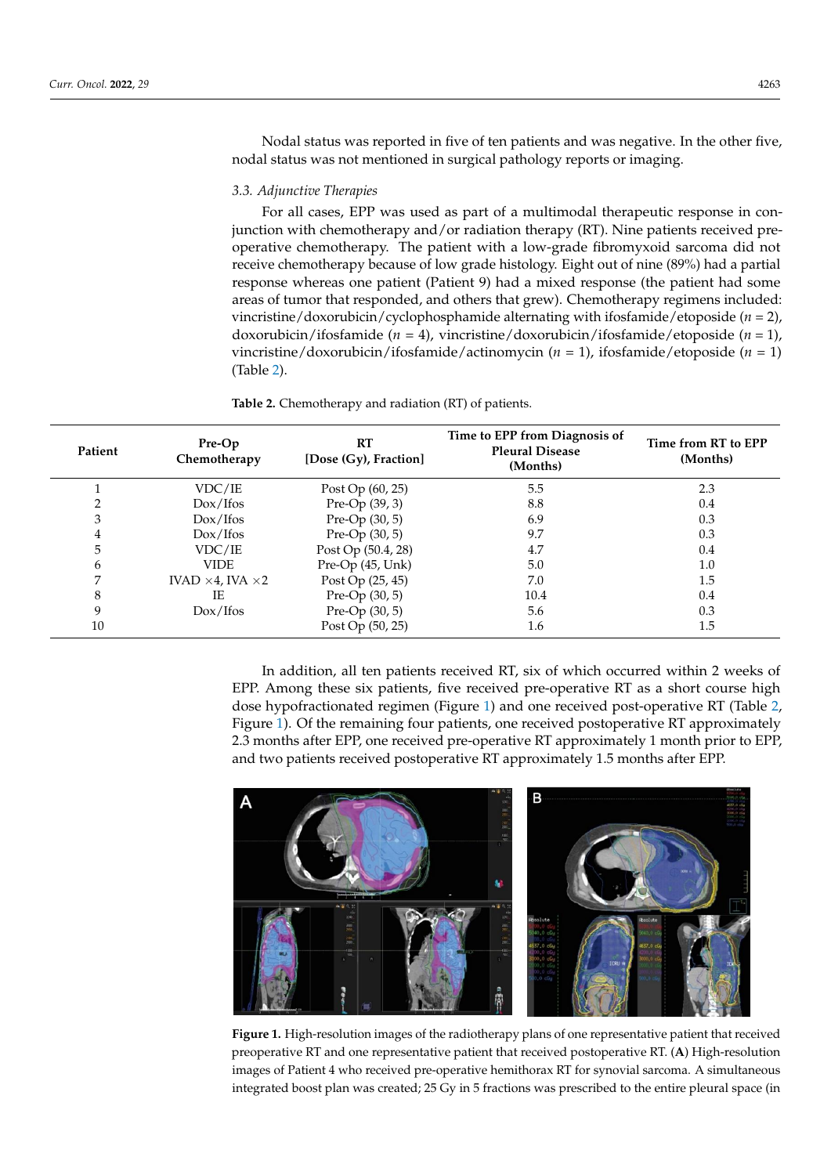Nodal status was reported in five of ten patients and was negative. In the other five, nodal status was not mentioned in surgical pathology reports or imaging.

#### *3.3. Adjunctive Therapies*

For all cases, EPP was used as part of a multimodal therapeutic response in conjunction with chemotherapy and/or radiation therapy (RT). Nine patients received preoperative chemotherapy. The patient with a low-grade fibromyxoid sarcoma did not receive chemotherapy because of low grade histology. Eight out of nine (89%) had a partial response whereas one patient (Patient 9) had a mixed response (the patient had some areas of tumor that responded, and others that grew). Chemotherapy regimens included: vincristine/doxorubicin/cyclophosphamide alternating with ifosfamide/etoposide (*n* = 2), doxorubicin/ifosfamide  $(n = 4)$ , vincristine/doxorubicin/ifosfamide/etoposide  $(n = 1)$ , vincristine/doxorubicin/ifosfamide/actinomycin (*n* = 1), ifosfamide/etoposide (*n* = 1) (Table [2\)](#page-3-0).

> <span id="page-3-0"></span>Table 2. Chemotherapy and radiation (RT) of patients. margins, Patient 4, had microscopic positive margins in the pericardium only.

| Patient | Pre-Op<br>Chemotherapy          | RT<br>[Dose (Gy), Fraction] | Time to EPP from Diagnosis of<br><b>Pleural Disease</b><br>(Months) | Time from RT to EPP<br>(Months) |
|---------|---------------------------------|-----------------------------|---------------------------------------------------------------------|---------------------------------|
|         | VDC/IE                          | Post $Op(60, 25)$           | 5.5                                                                 | 2.3                             |
|         | Dox/Ifos                        | Pre-Op (39, 3)              | 8.8                                                                 | 0.4                             |
| 3       | Dox/Ifos                        | Pre-Op $(30, 5)$            | 6.9                                                                 | 0.3                             |
| 4       | Dox/Ifos                        | Pre-Op $(30, 5)$            | 9.7                                                                 | 0.3                             |
| 5       | VDC/IE                          | Post Op (50.4, 28)          | 4.7                                                                 | 0.4                             |
| 6       | <b>VIDE</b>                     | Pre-Op (45, Unk)            | 5.0                                                                 | $1.0\,$                         |
| 7       | IVAD $\times$ 4, IVA $\times$ 2 | Post Op (25, 45)            | 7.0                                                                 | 1.5                             |
| 8       | IE                              | Pre-Op $(30, 5)$            | 10.4                                                                | 0.4                             |
| 9       | Dox/Ifos                        | Pre-Op $(30, 5)$            | 5.6                                                                 | 0.3                             |
| 10      |                                 | Post Op (50, 25)            | 1.6                                                                 | 1.5                             |

In addition, all ten patients received RT, six of which occurred within 2 weeks of EPP. Among these six patients, five received pre-operative RT as a short course high dose hypofractionated regimen (Figure 1) and one received post-operative RT (Table [2,](#page-3-0) Figure 1). Of t[he](#page-3-1) remaining four patients, one received postoperative RT approximately 2.3 months after EPP, one received pre-operative RT approximately 1 month prior to EPP, and two patients received postoperative RT approximately 1.5 months after EPP. and two patients received postoperative RT approximately 1.5 months after EPP.

<span id="page-3-1"></span>

Figure 1. High-resolution images of the radiotherapy plans of one representative patient that received ceived preoperative RT and one representative patient that received postoperative RT. (**A**) High-preoperative RT and one representative patient that received postoperative RT. (**A**) High-resolution images of Patient 4 who received pre-operative hemithorax RT for synovial sarcoma. A simultaneous integrated boost plan was created;  $25 \text{ Cy}$  in 5 fractions was prescribed to the entire pleural space (in integrated boost plan was created; 25 Gy in 5 fractions was prescribed to the entire pleural space (in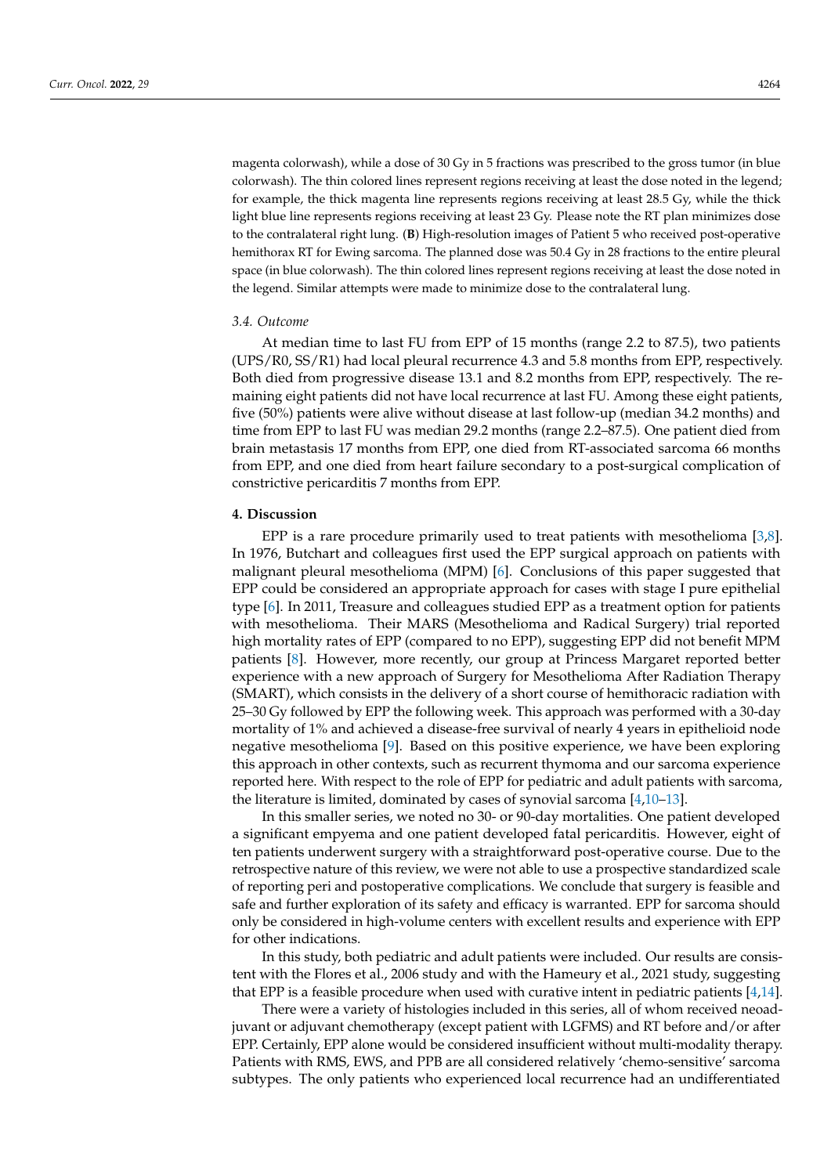magenta colorwash), while a dose of 30 Gy in 5 fractions was prescribed to the gross tumor (in blue colorwash). The thin colored lines represent regions receiving at least the dose noted in the legend; for example, the thick magenta line represents regions receiving at least 28.5 Gy, while the thick

light blue line represents regions receiving at least 23 Gy. Please note the RT plan minimizes dose to the contralateral right lung. (**B**) High-resolution images of Patient 5 who received post-operative hemithorax RT for Ewing sarcoma. The planned dose was 50.4 Gy in 28 fractions to the entire pleural space (in blue colorwash). The thin colored lines represent regions receiving at least the dose noted in the legend. Similar attempts were made to minimize dose to the contralateral lung.

#### *3.4. Outcome*

At median time to last FU from EPP of 15 months (range 2.2 to 87.5), two patients (UPS/R0, SS/R1) had local pleural recurrence 4.3 and 5.8 months from EPP, respectively. Both died from progressive disease 13.1 and 8.2 months from EPP, respectively. The remaining eight patients did not have local recurrence at last FU. Among these eight patients, five (50%) patients were alive without disease at last follow-up (median 34.2 months) and time from EPP to last FU was median 29.2 months (range 2.2–87.5). One patient died from brain metastasis 17 months from EPP, one died from RT-associated sarcoma 66 months from EPP, and one died from heart failure secondary to a post-surgical complication of constrictive pericarditis 7 months from EPP.

# **4. Discussion**

EPP is a rare procedure primarily used to treat patients with mesothelioma [\[3,](#page-6-2)[8\]](#page-6-6). In 1976, Butchart and colleagues first used the EPP surgical approach on patients with malignant pleural mesothelioma (MPM) [\[6\]](#page-6-7). Conclusions of this paper suggested that EPP could be considered an appropriate approach for cases with stage I pure epithelial type [\[6\]](#page-6-7). In 2011, Treasure and colleagues studied EPP as a treatment option for patients with mesothelioma. Their MARS (Mesothelioma and Radical Surgery) trial reported high mortality rates of EPP (compared to no EPP), suggesting EPP did not benefit MPM patients [\[8\]](#page-6-6). However, more recently, our group at Princess Margaret reported better experience with a new approach of Surgery for Mesothelioma After Radiation Therapy (SMART), which consists in the delivery of a short course of hemithoracic radiation with 25–30 Gy followed by EPP the following week. This approach was performed with a 30-day mortality of 1% and achieved a disease-free survival of nearly 4 years in epithelioid node negative mesothelioma [\[9\]](#page-6-8). Based on this positive experience, we have been exploring this approach in other contexts, such as recurrent thymoma and our sarcoma experience reported here. With respect to the role of EPP for pediatric and adult patients with sarcoma, the literature is limited, dominated by cases of synovial sarcoma [\[4,](#page-6-3)[10](#page-6-9)[–13\]](#page-6-10).

In this smaller series, we noted no 30- or 90-day mortalities. One patient developed a significant empyema and one patient developed fatal pericarditis. However, eight of ten patients underwent surgery with a straightforward post-operative course. Due to the retrospective nature of this review, we were not able to use a prospective standardized scale of reporting peri and postoperative complications. We conclude that surgery is feasible and safe and further exploration of its safety and efficacy is warranted. EPP for sarcoma should only be considered in high-volume centers with excellent results and experience with EPP for other indications.

In this study, both pediatric and adult patients were included. Our results are consistent with the Flores et al., 2006 study and with the Hameury et al., 2021 study, suggesting that EPP is a feasible procedure when used with curative intent in pediatric patients [\[4](#page-6-3)[,14\]](#page-6-11).

There were a variety of histologies included in this series, all of whom received neoadjuvant or adjuvant chemotherapy (except patient with LGFMS) and RT before and/or after EPP. Certainly, EPP alone would be considered insufficient without multi-modality therapy. Patients with RMS, EWS, and PPB are all considered relatively 'chemo-sensitive' sarcoma subtypes. The only patients who experienced local recurrence had an undifferentiated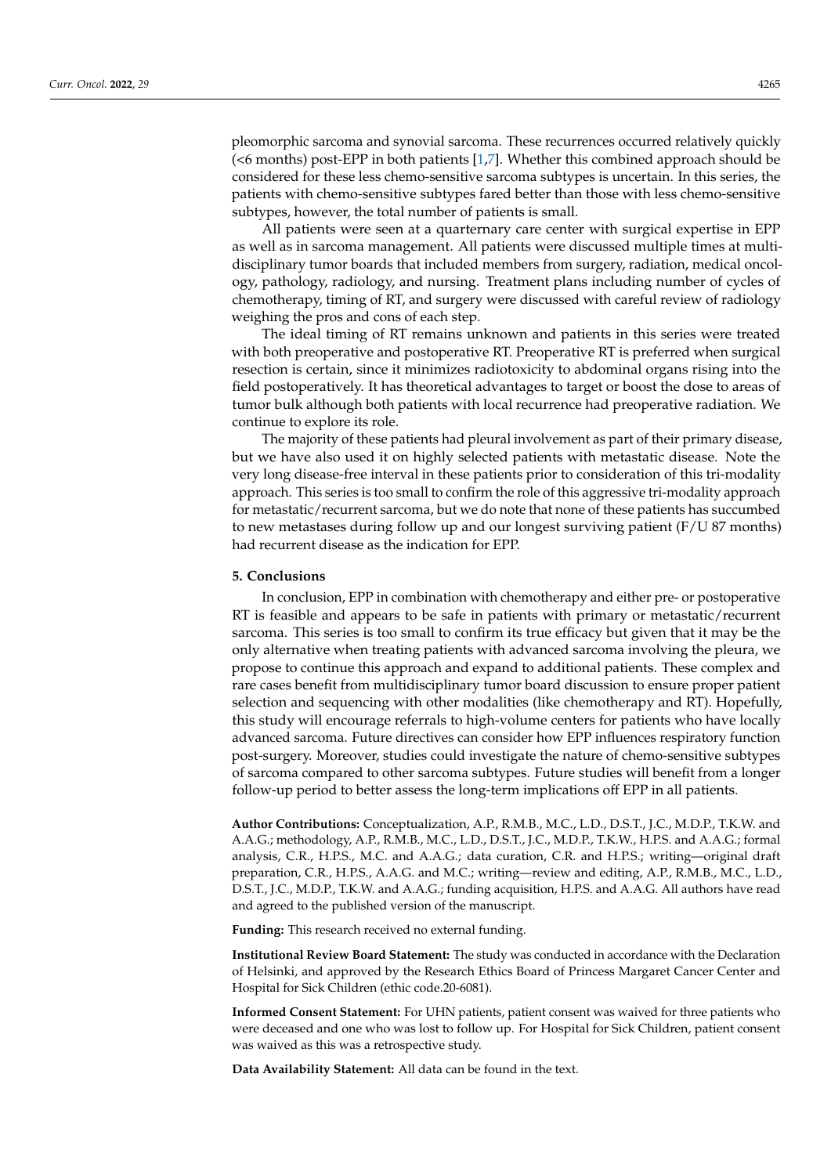pleomorphic sarcoma and synovial sarcoma. These recurrences occurred relatively quickly (<6 months) post-EPP in both patients [\[1,](#page-6-0)[7\]](#page-6-5). Whether this combined approach should be considered for these less chemo-sensitive sarcoma subtypes is uncertain. In this series, the patients with chemo-sensitive subtypes fared better than those with less chemo-sensitive subtypes, however, the total number of patients is small.

All patients were seen at a quarternary care center with surgical expertise in EPP as well as in sarcoma management. All patients were discussed multiple times at multidisciplinary tumor boards that included members from surgery, radiation, medical oncology, pathology, radiology, and nursing. Treatment plans including number of cycles of chemotherapy, timing of RT, and surgery were discussed with careful review of radiology weighing the pros and cons of each step.

The ideal timing of RT remains unknown and patients in this series were treated with both preoperative and postoperative RT. Preoperative RT is preferred when surgical resection is certain, since it minimizes radiotoxicity to abdominal organs rising into the field postoperatively. It has theoretical advantages to target or boost the dose to areas of tumor bulk although both patients with local recurrence had preoperative radiation. We continue to explore its role.

The majority of these patients had pleural involvement as part of their primary disease, but we have also used it on highly selected patients with metastatic disease. Note the very long disease-free interval in these patients prior to consideration of this tri-modality approach. This series is too small to confirm the role of this aggressive tri-modality approach for metastatic/recurrent sarcoma, but we do note that none of these patients has succumbed to new metastases during follow up and our longest surviving patient (F/U 87 months) had recurrent disease as the indication for EPP.

# **5. Conclusions**

In conclusion, EPP in combination with chemotherapy and either pre- or postoperative RT is feasible and appears to be safe in patients with primary or metastatic/recurrent sarcoma. This series is too small to confirm its true efficacy but given that it may be the only alternative when treating patients with advanced sarcoma involving the pleura, we propose to continue this approach and expand to additional patients. These complex and rare cases benefit from multidisciplinary tumor board discussion to ensure proper patient selection and sequencing with other modalities (like chemotherapy and RT). Hopefully, this study will encourage referrals to high-volume centers for patients who have locally advanced sarcoma. Future directives can consider how EPP influences respiratory function post-surgery. Moreover, studies could investigate the nature of chemo-sensitive subtypes of sarcoma compared to other sarcoma subtypes. Future studies will benefit from a longer follow-up period to better assess the long-term implications off EPP in all patients.

**Author Contributions:** Conceptualization, A.P., R.M.B., M.C., L.D., D.S.T., J.C., M.D.P., T.K.W. and A.A.G.; methodology, A.P., R.M.B., M.C., L.D., D.S.T., J.C., M.D.P., T.K.W., H.P.S. and A.A.G.; formal analysis, C.R., H.P.S., M.C. and A.A.G.; data curation, C.R. and H.P.S.; writing—original draft preparation, C.R., H.P.S., A.A.G. and M.C.; writing—review and editing, A.P., R.M.B., M.C., L.D., D.S.T., J.C., M.D.P., T.K.W. and A.A.G.; funding acquisition, H.P.S. and A.A.G. All authors have read and agreed to the published version of the manuscript.

**Funding:** This research received no external funding.

**Institutional Review Board Statement:** The study was conducted in accordance with the Declaration of Helsinki, and approved by the Research Ethics Board of Princess Margaret Cancer Center and Hospital for Sick Children (ethic code.20-6081).

**Informed Consent Statement:** For UHN patients, patient consent was waived for three patients who were deceased and one who was lost to follow up. For Hospital for Sick Children, patient consent was waived as this was a retrospective study.

**Data Availability Statement:** All data can be found in the text.